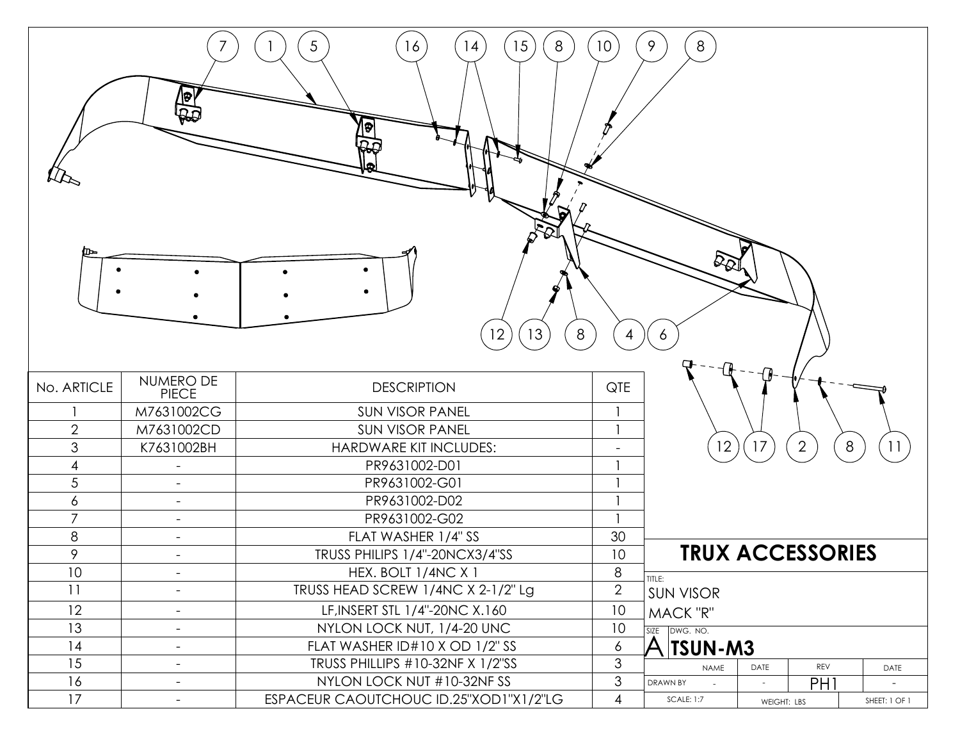| 5 <sup>5</sup><br>8<br>16<br>15<br>$8\phantom{1}$<br>10 <sup>7</sup><br>9<br>14<br>]ಾ<br>ים ו<br>$\mathcal{L}_{\mathcal{Q}^{\parallel}}$<br>13<br>8<br>12<br>$\overline{4}$<br>6 |                           |                                        |                |                                    |             |                 |   |               |  |  |  |  |
|----------------------------------------------------------------------------------------------------------------------------------------------------------------------------------|---------------------------|----------------------------------------|----------------|------------------------------------|-------------|-----------------|---|---------------|--|--|--|--|
| No. ARTICLE                                                                                                                                                                      | NUMERO DE<br><b>PIECE</b> | <b>DESCRIPTION</b>                     | QTE            |                                    |             |                 |   |               |  |  |  |  |
|                                                                                                                                                                                  | M7631002CG                | <b>SUN VISOR PANEL</b>                 |                |                                    |             |                 |   |               |  |  |  |  |
| $\overline{2}$                                                                                                                                                                   | M7631002CD                | <b>SUN VISOR PANEL</b>                 |                |                                    |             |                 |   |               |  |  |  |  |
| $\mathfrak 3$                                                                                                                                                                    | K7631002BH                | HARDWARE KIT INCLUDES:                 |                | 12                                 | 17          | $\overline{2}$  | 8 | 11            |  |  |  |  |
| 4                                                                                                                                                                                | $\blacksquare$            | PR9631002-D01                          |                |                                    |             |                 |   |               |  |  |  |  |
| $\sqrt{5}$                                                                                                                                                                       | $\overline{\phantom{a}}$  | PR9631002-G01                          |                |                                    |             |                 |   |               |  |  |  |  |
| 6                                                                                                                                                                                | $\overline{\phantom{a}}$  | PR9631002-D02                          | $\mathbf{1}$   |                                    |             |                 |   |               |  |  |  |  |
| $\overline{7}$                                                                                                                                                                   | $\overline{\phantom{a}}$  | PR9631002-G02                          |                |                                    |             |                 |   |               |  |  |  |  |
| $\,8\,$                                                                                                                                                                          | $\overline{\phantom{a}}$  | FLAT WASHER 1/4" SS                    | 30             |                                    |             |                 |   |               |  |  |  |  |
| 9                                                                                                                                                                                |                           | TRUSS PHILIPS 1/4"-20NCX3/4"SS         | 10             | <b>TRUX ACCESSORIES</b>            |             |                 |   |               |  |  |  |  |
| 10                                                                                                                                                                               | $\overline{\phantom{a}}$  | HEX. BOLT 1/4NC X 1                    | 8              | TITLE:                             |             |                 |   |               |  |  |  |  |
| 11                                                                                                                                                                               | $\overline{\phantom{a}}$  | TRUSS HEAD SCREW 1/4NC X 2-1/2" Lg     | $\overline{2}$ | <b>SUN VISOR</b>                   |             |                 |   |               |  |  |  |  |
| 12                                                                                                                                                                               | $\overline{\phantom{a}}$  | LF, INSERT STL 1/4"-20NC X.160         | 10             | MACK "R"                           |             |                 |   |               |  |  |  |  |
| 13                                                                                                                                                                               | $\overline{\phantom{a}}$  | NYLON LOCK NUT, 1/4-20 UNC             | 10             | SIZE DWG. NO.                      |             |                 |   |               |  |  |  |  |
| 14                                                                                                                                                                               | $\overline{\phantom{a}}$  | FLAT WASHER ID#10 X OD 1/2" SS         | 6              | $\mathsf{A}$  TSUN-M3              |             |                 |   |               |  |  |  |  |
| 15                                                                                                                                                                               | $\overline{\phantom{a}}$  | TRUSS PHILLIPS #10-32NF X 1/2"SS       | 3              | REV<br>DATE<br><b>NAME</b><br>DATE |             |                 |   |               |  |  |  |  |
| 16                                                                                                                                                                               | $\overline{\phantom{a}}$  | NYLON LOCK NUT #10-32NF SS             | $\mathfrak{S}$ | DRAWN BY                           |             | PH <sub>1</sub> |   |               |  |  |  |  |
| 17                                                                                                                                                                               | $\overline{\phantom{a}}$  | ESPACEUR CAOUTCHOUC ID.25"XOD1"X1/2"LG | $\overline{4}$ | <b>SCALE: 1:7</b>                  | WEIGHT: LBS |                 |   | SHEET: 1 OF 1 |  |  |  |  |